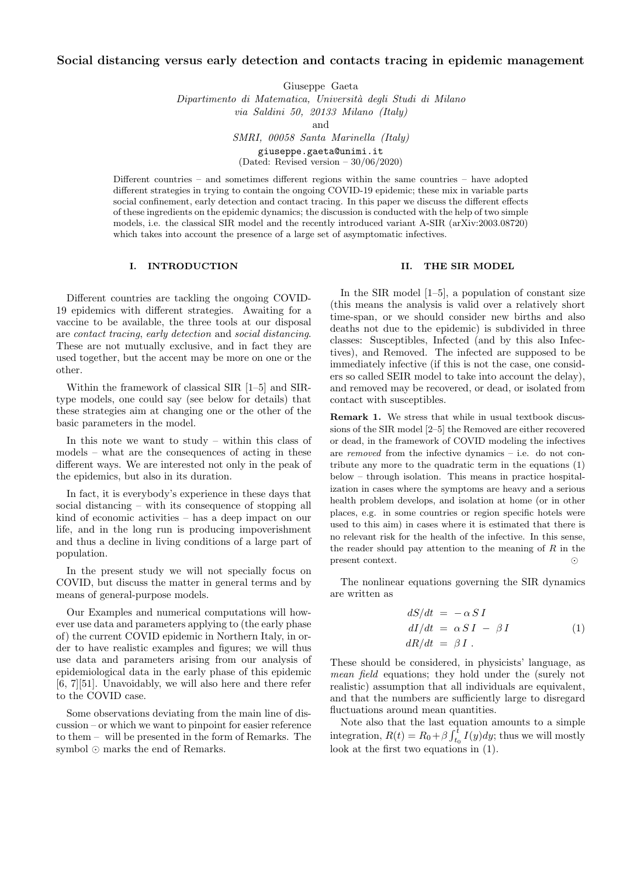# **Social distancing versus early detection and contacts tracing in epidemic management**

Giuseppe Gaeta

*Dipartimento di Matematica, Universit`a degli Studi di Milano via Saldini 50, 20133 Milano (Italy)*

and

*SMRI, 00058 Santa Marinella (Italy)* giuseppe.gaeta@unimi.it

(Dated: Revised version  $-30/06/2020$ )

Different countries – and sometimes different regions within the same countries – have adopted different strategies in trying to contain the ongoing COVID-19 epidemic; these mix in variable parts social confinement, early detection and contact tracing. In this paper we discuss the different effects of these ingredients on the epidemic dynamics; the discussion is conducted with the help of two simple models, i.e. the classical SIR model and the recently introduced variant A-SIR (arXiv:2003.08720) which takes into account the presence of a large set of asymptomatic infectives.

# **I. INTRODUCTION**

Different countries are tackling the ongoing COVID-19 epidemics with different strategies. Awaiting for a vaccine to be available, the three tools at our disposal are *contact tracing*, *early detection* and *social distancing*. These are not mutually exclusive, and in fact they are used together, but the accent may be more on one or the other.

Within the framework of classical SIR [1–5] and SIRtype models, one could say (see below for details) that these strategies aim at changing one or the other of the basic parameters in the model.

In this note we want to study – within this class of models – what are the consequences of acting in these different ways. We are interested not only in the peak of the epidemics, but also in its duration.

In fact, it is everybody's experience in these days that social distancing – with its consequence of stopping all kind of economic activities – has a deep impact on our life, and in the long run is producing impoverishment and thus a decline in living conditions of a large part of population.

In the present study we will not specially focus on COVID, but discuss the matter in general terms and by means of general-purpose models.

Our Examples and numerical computations will however use data and parameters applying to (the early phase of) the current COVID epidemic in Northern Italy, in order to have realistic examples and figures; we will thus use data and parameters arising from our analysis of epidemiological data in the early phase of this epidemic [6, 7][51]. Unavoidably, we will also here and there refer to the COVID case.

Some observations deviating from the main line of discussion – or which we want to pinpoint for easier reference to them – will be presented in the form of Remarks. The symbol *⊙* marks the end of Remarks.

# **II. THE SIR MODEL**

In the SIR model [1–5], a population of constant size (this means the analysis is valid over a relatively short time-span, or we should consider new births and also deaths not due to the epidemic) is subdivided in three classes: Susceptibles, Infected (and by this also Infectives), and Removed. The infected are supposed to be immediately infective (if this is not the case, one considers so called SEIR model to take into account the delay), and removed may be recovered, or dead, or isolated from contact with susceptibles.

**Remark 1.** We stress that while in usual textbook discussions of the SIR model [2–5] the Removed are either recovered or dead, in the framework of COVID modeling the infectives are *removed* from the infective dynamics – i.e. do not contribute any more to the quadratic term in the equations (1) below – through isolation. This means in practice hospitalization in cases where the symptoms are heavy and a serious health problem develops, and isolation at home (or in other places, e.g. in some countries or region specific hotels were used to this aim) in cases where it is estimated that there is no relevant risk for the health of the infective. In this sense, the reader should pay attention to the meaning of *R* in the present context. *⊙*

The nonlinear equations governing the SIR dynamics are written as

$$
dS/dt = -\alpha SI
$$
  
\n
$$
dI/dt = \alpha SI - \beta I
$$
  
\n
$$
dR/dt = \beta I.
$$
\n(1)

These should be considered, in physicists' language, as *mean field* equations; they hold under the (surely not realistic) assumption that all individuals are equivalent, and that the numbers are sufficiently large to disregard fluctuations around mean quantities.

Note also that the last equation amounts to a simple integration,  $R(t) = R_0 + \beta \int_{t_0}^{t} I(y) dy$ ; thus we will mostly look at the first two equations in (1).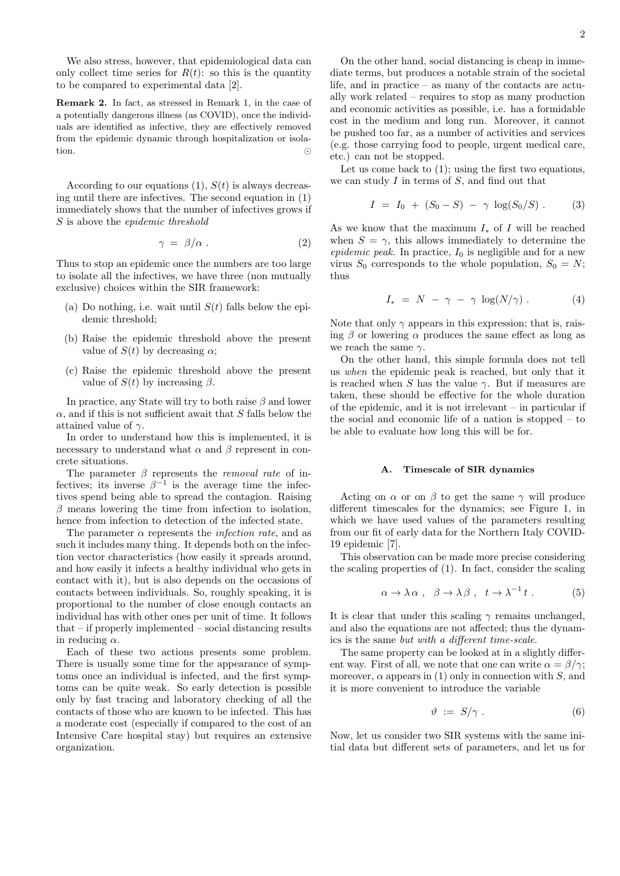We also stress, however, that epidemiological data can only collect time series for  $R(t)$ : so this is the quantity to be compared to experimental data [2].

**Remark 2.** In fact, as stressed in Remark 1, in the case of a potentially dangerous illness (as COVID), once the individuals are identified as infective, they are effectively removed from the epidemic dynamic through hospitalization or isolation. *⊙*

According to our equations  $(1)$ ,  $S(t)$  is always decreasing until there are infectives. The second equation in (1) immediately shows that the number of infectives grows if *S* is above the *epidemic threshold*

$$
\gamma = \beta/\alpha \ . \tag{2}
$$

Thus to stop an epidemic once the numbers are too large to isolate all the infectives, we have three (non mutually exclusive) choices within the SIR framework:

- (a) Do nothing, i.e. wait until  $S(t)$  falls below the epidemic threshold;
- (b) Raise the epidemic threshold above the present value of  $S(t)$  by decreasing  $\alpha$ ;
- (c) Raise the epidemic threshold above the present value of  $S(t)$  by increasing  $\beta$ .

In practice, any State will try to both raise *β* and lower  $\alpha$ , and if this is not sufficient await that *S* falls below the attained value of *γ*.

In order to understand how this is implemented, it is necessary to understand what  $\alpha$  and  $\beta$  represent in concrete situations.

The parameter *β* represents the *removal rate* of infectives; its inverse  $\beta^{-1}$  is the average time the infectives spend being able to spread the contagion. Raising *β* means lowering the time from infection to isolation, hence from infection to detection of the infected state.

The parameter *α* represents the *infection rate*, and as such it includes many thing. It depends both on the infection vector characteristics (how easily it spreads around, and how easily it infects a healthy individual who gets in contact with it), but is also depends on the occasions of contacts between individuals. So, roughly speaking, it is proportional to the number of close enough contacts an individual has with other ones per unit of time. It follows that – if properly implemented – social distancing results in reducing *α*.

Each of these two actions presents some problem. There is usually some time for the appearance of symptoms once an individual is infected, and the first symptoms can be quite weak. So early detection is possible only by fast tracing and laboratory checking of all the contacts of those who are known to be infected. This has a moderate cost (especially if compared to the cost of an Intensive Care hospital stay) but requires an extensive organization.

On the other hand, social distancing is cheap in immediate terms, but produces a notable strain of the societal life, and in practice – as many of the contacts are actually work related – requires to stop as many production and economic activities as possible, i.e. has a formidable cost in the medium and long run. Moreover, it cannot be pushed too far, as a number of activities and services (e.g. those carrying food to people, urgent medical care, etc.) can not be stopped.

Let us come back to  $(1)$ ; using the first two equations, we can study *I* in terms of *S*, and find out that

$$
I = I_0 + (S_0 - S) - \gamma \log(S_0/S) . \tag{3}
$$

As we know that the maximum *I<sup>∗</sup>* of *I* will be reached when  $S = \gamma$ , this allows immediately to determine the *epidemic peak*. In practice, *I*<sup>0</sup> is negligible and for a new virus  $S_0$  corresponds to the whole population,  $S_0 = N$ ; thus

$$
I_* = N - \gamma - \gamma \log(N/\gamma) . \tag{4}
$$

Note that only  $\gamma$  appears in this expression; that is, raising  $\beta$  or lowering  $\alpha$  produces the same effect as long as we reach the same *γ*.

On the other hand, this simple formula does not tell us *when* the epidemic peak is reached, but only that it is reached when *S* has the value  $\gamma$ . But if measures are taken, these should be effective for the whole duration of the epidemic, and it is not irrelevant – in particular if the social and economic life of a nation is stopped – to be able to evaluate how long this will be for.

#### **A. Timescale of SIR dynamics**

Acting on  $\alpha$  or on  $\beta$  to get the same  $\gamma$  will produce different timescales for the dynamics; see Figure 1, in which we have used values of the parameters resulting from our fit of early data for the Northern Italy COVID-19 epidemic [7].

This observation can be made more precise considering the scaling properties of (1). In fact, consider the scaling

$$
\alpha \to \lambda \alpha \ , \ \ \beta \to \lambda \beta \ , \ \ t \to \lambda^{-1} t \ . \tag{5}
$$

It is clear that under this scaling  $\gamma$  remains unchanged, and also the equations are not affected; thus the dynamics is the same *but with a different time-scale*.

The same property can be looked at in a slightly different way. First of all, we note that one can write  $\alpha = \beta/\gamma$ ; moreover,  $\alpha$  appears in (1) only in connection with *S*, and it is more convenient to introduce the variable

$$
\vartheta \; := \; S/\gamma \; . \tag{6}
$$

Now, let us consider two SIR systems with the same initial data but different sets of parameters, and let us for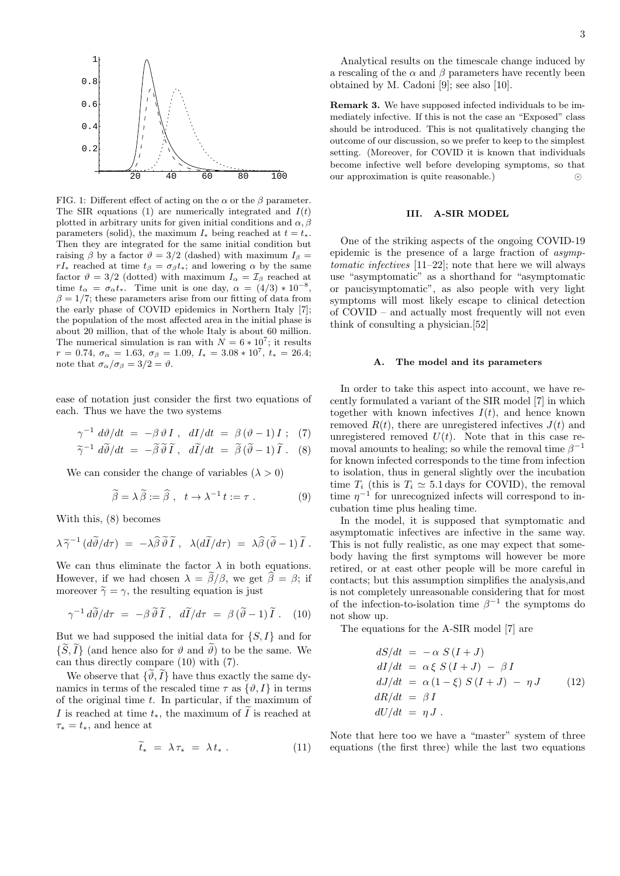

FIG. 1: Different effect of acting on the  $\alpha$  or the  $\beta$  parameter. The SIR equations (1) are numerically integrated and *I*(*t*) plotted in arbitrary units for given initial conditions and  $\alpha$ ,  $\beta$ parameters (solid), the maximum  $I_*$  being reached at  $t = t_*$ . Then they are integrated for the same initial condition but raising  $\beta$  by a factor  $\vartheta = 3/2$  (dashed) with maximum  $I_{\beta} =$ *rI*<sup>\*</sup> reached at time  $t_\beta = \sigma_\beta t_*$ ; and lowering  $\alpha$  by the same factor  $\vartheta = 3/2$  (dotted) with maximum  $I_{\alpha} = I_{\beta}$  reached at time  $t_{\alpha} = \sigma_{\alpha} t_{*}$ . Time unit is one day,  $\alpha = (4/3) * 10^{-8}$ ,  $\beta = 1/7$ ; these parameters arise from our fitting of data from the early phase of COVID epidemics in Northern Italy [7]; the population of the most affected area in the initial phase is about 20 million, that of the whole Italy is about 60 million. The numerical simulation is ran with  $N = 6 * 10^7$ ; it results  $r = 0.74, \ \sigma_{\alpha} = 1.63, \ \sigma_{\beta} = 1.09, \ I_* = 3.08 * 10^7, \ t_* = 26.4;$ note that  $\sigma_{\alpha}/\sigma_{\beta} = 3/2 = \vartheta$ .

ease of notation just consider the first two equations of each. Thus we have the two systems

$$
\gamma^{-1} d\vartheta/dt = -\beta \vartheta I, \quad dI/dt = \beta (\vartheta - 1) I; \quad (7)
$$
  

$$
\widetilde{\gamma}^{-1} d\widetilde{\vartheta}/dt = -\widetilde{\beta} \widetilde{\vartheta} \widetilde{I}, \quad d\widetilde{I}/dt = \widetilde{\beta} (\widetilde{\vartheta} - 1) \widetilde{I}. \quad (8)
$$

We can consider the change of variables  $(\lambda > 0)$ 

$$
\widetilde{\beta} = \lambda \widetilde{\beta} := \widehat{\beta} , \quad t \to \lambda^{-1} t := \tau . \tag{9}
$$

With this, (8) becomes

$$
\lambda \widetilde{\gamma}^{-1} (d\widetilde{\vartheta}/d\tau) = -\lambda \widehat{\beta} \widetilde{\vartheta} \widetilde{I}, \quad \lambda (d\widetilde{I}/d\tau) = \lambda \widehat{\beta} (\widetilde{\vartheta} - 1) \widetilde{I}.
$$

We can thus eliminate the factor  $\lambda$  in both equations. However, if we had chosen  $\lambda = \tilde{\beta}/\beta$ , we get  $\hat{\beta} = \beta$ ; if moreover  $\tilde{\gamma} = \gamma$ , the resulting equation is just

$$
\gamma^{-1} d\widetilde{\vartheta}/d\tau = -\beta \widetilde{\vartheta} \widetilde{I}, \quad d\widetilde{I}/d\tau = \beta (\widetilde{\vartheta} - 1) \widetilde{I}. \quad (10)
$$

But we had supposed the initial data for *{S, I}* and for  $\{\widetilde{S}, \widetilde{I}\}$  (and hence also for  $\vartheta$  and  $\widetilde{\vartheta}$ ) to be the same. We can thus directly compare (10) with (7).

We observe that  $\{\hat{\vartheta}, \hat{I}\}$  have thus exactly the same dynamics in terms of the rescaled time  $\tau$  as  $\{\vartheta, I\}$  in terms of the original time *t*. In particular, if the maximum of *I* is reached at time  $t_*$ , the maximum of  $\tilde{I}$  is reached at  $\tau_* = t_*$ , and hence at

$$
\widetilde{t}_* = \lambda \tau_* = \lambda t_* \ . \tag{11}
$$

Analytical results on the timescale change induced by a rescaling of the  $\alpha$  and  $\beta$  parameters have recently been obtained by M. Cadoni [9]; see also [10].

**Remark 3.** We have supposed infected individuals to be immediately infective. If this is not the case an "Exposed" class should be introduced. This is not qualitatively changing the outcome of our discussion, so we prefer to keep to the simplest setting. (Moreover, for COVID it is known that individuals become infective well before developing symptoms, so that our approximation is quite reasonable.) *⊙*

### **III. A-SIR MODEL**

One of the striking aspects of the ongoing COVID-19 epidemic is the presence of a large fraction of *asymptomatic infectives* [11–22]; note that here we will always use "asymptomatic" as a shorthand for "asymptomatic or paucisymptomatic", as also people with very light symptoms will most likely escape to clinical detection of COVID – and actually most frequently will not even think of consulting a physician.[52]

# **A. The model and its parameters**

In order to take this aspect into account, we have recently formulated a variant of the SIR model [7] in which together with known infectives  $I(t)$ , and hence known removed  $R(t)$ , there are unregistered infectives  $J(t)$  and unregistered removed  $U(t)$ . Note that in this case removal amounts to healing; so while the removal time  $\beta^{-1}$ for known infected corresponds to the time from infection to isolation, thus in general slightly over the incubation time  $T_i$  (this is  $T_i \simeq 5.1$  days for COVID), the removal time  $\eta^{-1}$  for unrecognized infects will correspond to incubation time plus healing time.

In the model, it is supposed that symptomatic and asymptomatic infectives are infective in the same way. This is not fully realistic, as one may expect that somebody having the first symptoms will however be more retired, or at east other people will be more careful in contacts; but this assumption simplifies the analysis,and is not completely unreasonable considering that for most of the infection-to-isolation time  $\beta^{-1}$  the symptoms do not show up.

The equations for the A-SIR model [7] are

$$
dS/dt = -\alpha S (I + J)
$$
  
\n
$$
dI/dt = \alpha \xi S (I + J) - \beta I
$$
  
\n
$$
dJ/dt = \alpha (1 - \xi) S (I + J) - \eta J
$$
  
\n
$$
dR/dt = \beta I
$$
  
\n
$$
dU/dt = \eta J
$$
 (12)

Note that here too we have a "master" system of three equations (the first three) while the last two equations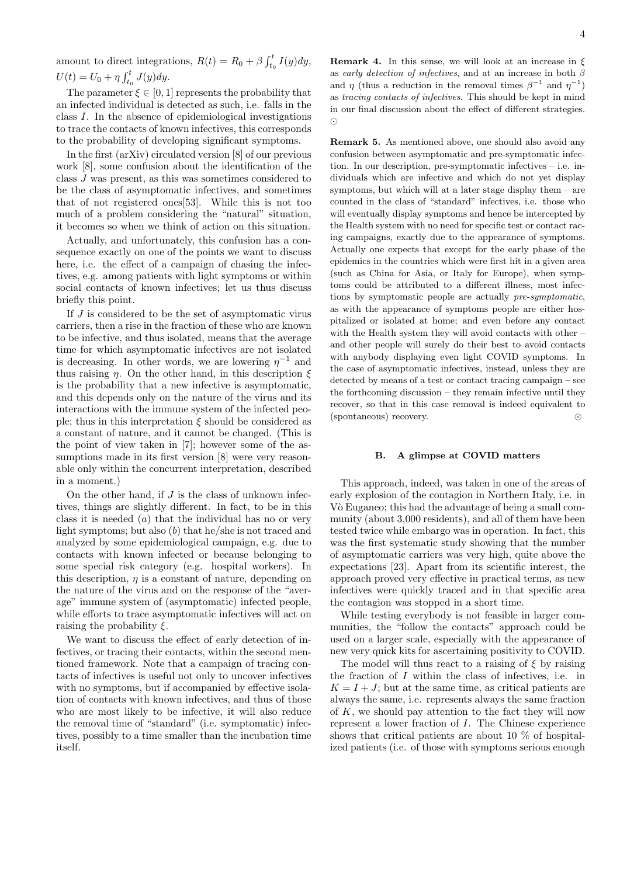amount to direct integrations,  $R(t) = R_0 + \beta \int_{t_0}^t I(y) dy$ ,  $U(t) = U_0 + \eta \int_{t_0}^t J(y) dy.$ 

The parameter  $\xi \in [0, 1]$  represents the probability that an infected individual is detected as such, i.e. falls in the class *I*. In the absence of epidemiological investigations to trace the contacts of known infectives, this corresponds to the probability of developing significant symptoms.

In the first (arXiv) circulated version [8] of our previous work [8], some confusion about the identification of the class *J* was present, as this was sometimes considered to be the class of asymptomatic infectives, and sometimes that of not registered ones[53]. While this is not too much of a problem considering the "natural" situation, it becomes so when we think of action on this situation.

Actually, and unfortunately, this confusion has a consequence exactly on one of the points we want to discuss here, i.e. the effect of a campaign of chasing the infectives, e.g. among patients with light symptoms or within social contacts of known infectives; let us thus discuss briefly this point.

If *J* is considered to be the set of asymptomatic virus carriers, then a rise in the fraction of these who are known to be infective, and thus isolated, means that the average time for which asymptomatic infectives are not isolated is decreasing. In other words, we are lowering  $\eta^{-1}$  and thus raising *η*. On the other hand, in this description  $\xi$ is the probability that a new infective is asymptomatic, and this depends only on the nature of the virus and its interactions with the immune system of the infected people; thus in this interpretation  $\xi$  should be considered as a constant of nature, and it cannot be changed. (This is the point of view taken in [7]; however some of the assumptions made in its first version [8] were very reasonable only within the concurrent interpretation, described in a moment.)

On the other hand, if *J* is the class of unknown infectives, things are slightly different. In fact, to be in this class it is needed (*a*) that the individual has no or very light symptoms; but also (*b*) that he/she is not traced and analyzed by some epidemiological campaign, e.g. due to contacts with known infected or because belonging to some special risk category (e.g. hospital workers). In this description,  $\eta$  is a constant of nature, depending on the nature of the virus and on the response of the "average" immune system of (asymptomatic) infected people, while efforts to trace asymptomatic infectives will act on raising the probability *ξ*.

We want to discuss the effect of early detection of infectives, or tracing their contacts, within the second mentioned framework. Note that a campaign of tracing contacts of infectives is useful not only to uncover infectives with no symptoms, but if accompanied by effective isolation of contacts with known infectives, and thus of those who are most likely to be infective, it will also reduce the removal time of "standard" (i.e. symptomatic) infectives, possibly to a time smaller than the incubation time itself.

**Remark 4.** In this sense, we will look at an increase in *ξ* as *early detection of infectives*, and at an increase in both *β* and *η* (thus a reduction in the removal times  $\beta^{-1}$  and  $\eta^{-1}$ ) as *tracing contacts of infectives*. This should be kept in mind in our final discussion about the effect of different strategies. *⊙*

**Remark 5.** As mentioned above, one should also avoid any confusion between asymptomatic and pre-symptomatic infection. In our description, pre-symptomatic infectives – i.e. individuals which are infective and which do not yet display symptoms, but which will at a later stage display them – are counted in the class of "standard" infectives, i.e. those who will eventually display symptoms and hence be intercepted by the Health system with no need for specific test or contact racing campaigns, exactly due to the appearance of symptoms. Actually one expects that except for the early phase of the epidemics in the countries which were first hit in a given area (such as China for Asia, or Italy for Europe), when symptoms could be attributed to a different illness, most infections by symptomatic people are actually *pre-symptomatic*, as with the appearance of symptoms people are either hospitalized or isolated at home; and even before any contact with the Health system they will avoid contacts with other – and other people will surely do their best to avoid contacts with anybody displaying even light COVID symptoms. In the case of asymptomatic infectives, instead, unless they are detected by means of a test or contact tracing campaign – see the forthcoming discussion – they remain infective until they recover, so that in this case removal is indeed equivalent to (spontaneous) recovery. *⊙*

#### **B. A glimpse at COVID matters**

This approach, indeed, was taken in one of the areas of early explosion of the contagion in Northern Italy, i.e. in Vò Euganeo; this had the advantage of being a small community (about 3,000 residents), and all of them have been tested twice while embargo was in operation. In fact, this was the first systematic study showing that the number of asymptomatic carriers was very high, quite above the expectations [23]. Apart from its scientific interest, the approach proved very effective in practical terms, as new infectives were quickly traced and in that specific area the contagion was stopped in a short time.

While testing everybody is not feasible in larger communities, the "follow the contacts" approach could be used on a larger scale, especially with the appearance of new very quick kits for ascertaining positivity to COVID.

The model will thus react to a raising of *ξ* by raising the fraction of *I* within the class of infectives, i.e. in  $K = I + J$ ; but at the same time, as critical patients are always the same, i.e. represents always the same fraction of *K*, we should pay attention to the fact they will now represent a lower fraction of *I*. The Chinese experience shows that critical patients are about 10 % of hospitalized patients (i.e. of those with symptoms serious enough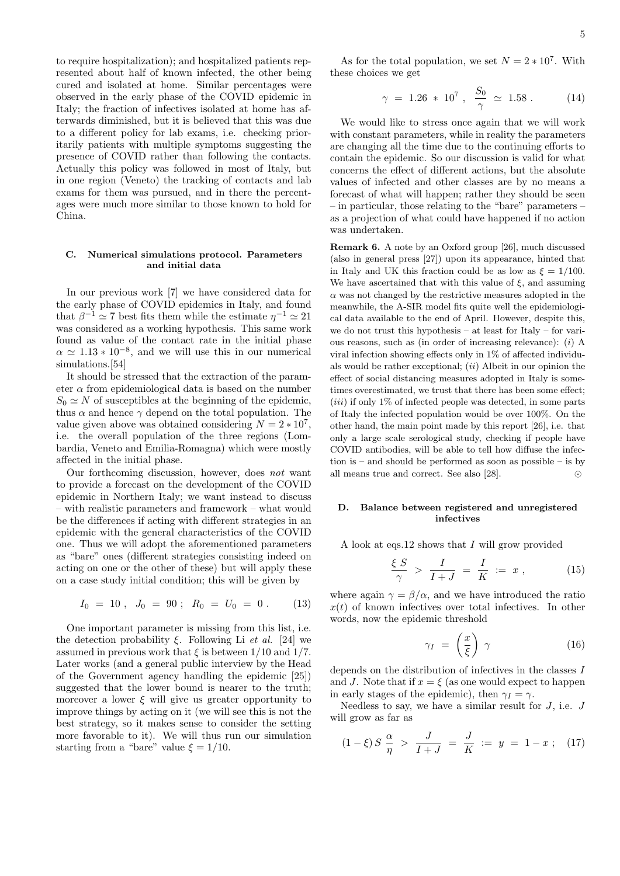to require hospitalization); and hospitalized patients represented about half of known infected, the other being cured and isolated at home. Similar percentages were observed in the early phase of the COVID epidemic in Italy; the fraction of infectives isolated at home has afterwards diminished, but it is believed that this was due to a different policy for lab exams, i.e. checking prioritarily patients with multiple symptoms suggesting the presence of COVID rather than following the contacts. Actually this policy was followed in most of Italy, but in one region (Veneto) the tracking of contacts and lab exams for them was pursued, and in there the percentages were much more similar to those known to hold for China.

# **C. Numerical simulations protocol. Parameters and initial data**

In our previous work [7] we have considered data for the early phase of COVID epidemics in Italy, and found that  $\beta^{-1} \simeq 7$  best fits them while the estimate  $\eta^{-1} \simeq 21$ was considered as a working hypothesis. This same work found as value of the contact rate in the initial phase  $\alpha \simeq 1.13 * 10^{-8}$ , and we will use this in our numerical simulations.[54]

It should be stressed that the extraction of the parameter  $\alpha$  from epidemiological data is based on the number  $S_0 \simeq N$  of susceptibles at the beginning of the epidemic, thus  $\alpha$  and hence  $\gamma$  depend on the total population. The value given above was obtained considering  $N = 2 * 10^7$ , i.e. the overall population of the three regions (Lombardia, Veneto and Emilia-Romagna) which were mostly affected in the initial phase.

Our forthcoming discussion, however, does *not* want to provide a forecast on the development of the COVID epidemic in Northern Italy; we want instead to discuss – with realistic parameters and framework – what would be the differences if acting with different strategies in an epidemic with the general characteristics of the COVID one. Thus we will adopt the aforementioned parameters as "bare" ones (different strategies consisting indeed on acting on one or the other of these) but will apply these on a case study initial condition; this will be given by

$$
I_0 = 10 \ , \ J_0 = 90 \ ; \ R_0 = U_0 = 0 \ . \tag{13}
$$

One important parameter is missing from this list, i.e. the detection probability *ξ*. Following Li *et al.* [24] we assumed in previous work that  $\xi$  is between 1/10 and 1/7. Later works (and a general public interview by the Head of the Government agency handling the epidemic [25]) suggested that the lower bound is nearer to the truth; moreover a lower  $\xi$  will give us greater opportunity to improve things by acting on it (we will see this is not the best strategy, so it makes sense to consider the setting more favorable to it). We will thus run our simulation starting from a "bare" value  $\xi = 1/10$ .

As for the total population, we set  $N = 2 * 10^7$ . With these choices we get

$$
\gamma = 1.26 \, * \, 10^7 \, , \, \frac{S_0}{\gamma} \, \simeq \, 1.58 \, . \tag{14}
$$

We would like to stress once again that we will work with constant parameters, while in reality the parameters are changing all the time due to the continuing efforts to contain the epidemic. So our discussion is valid for what concerns the effect of different actions, but the absolute values of infected and other classes are by no means a forecast of what will happen; rather they should be seen – in particular, those relating to the "bare" parameters – as a projection of what could have happened if no action was undertaken.

**Remark 6.** A note by an Oxford group [26], much discussed (also in general press [27]) upon its appearance, hinted that in Italy and UK this fraction could be as low as  $\xi = 1/100$ . We have ascertained that with this value of *ξ*, and assuming  $\alpha$  was not changed by the restrictive measures adopted in the meanwhile, the A-SIR model fits quite well the epidemiological data available to the end of April. However, despite this, we do not trust this hypothesis – at least for Italy – for various reasons, such as (in order of increasing relevance): (*i*) A viral infection showing effects only in 1% of affected individuals would be rather exceptional; (*ii*) Albeit in our opinion the effect of social distancing measures adopted in Italy is sometimes overestimated, we trust that there has been some effect; (*iii*) if only 1% of infected people was detected, in some parts of Italy the infected population would be over 100%. On the other hand, the main point made by this report [26], i.e. that only a large scale serological study, checking if people have COVID antibodies, will be able to tell how diffuse the infection is – and should be performed as soon as possible – is by all means true and correct. See also [28]. *⊙*

# **D. Balance between registered and unregistered infectives**

A look at eqs.12 shows that *I* will grow provided

$$
\frac{\xi S}{\gamma} > \frac{I}{I+J} = \frac{I}{K} := x \,, \tag{15}
$$

where again  $\gamma = \beta/\alpha$ , and we have introduced the ratio  $x(t)$  of known infectives over total infectives. In other words, now the epidemic threshold

$$
\gamma_I = \left(\frac{x}{\xi}\right) \gamma \tag{16}
$$

depends on the distribution of infectives in the classes *I* and *J*. Note that if  $x = \xi$  (as one would expect to happen in early stages of the epidemic), then  $\gamma_I = \gamma$ .

Needless to say, we have a similar result for *J*, i.e. *J* will grow as far as

$$
(1 - \xi) S \frac{\alpha}{\eta} > \frac{J}{I + J} = \frac{J}{K} := y = 1 - x ; \quad (17)
$$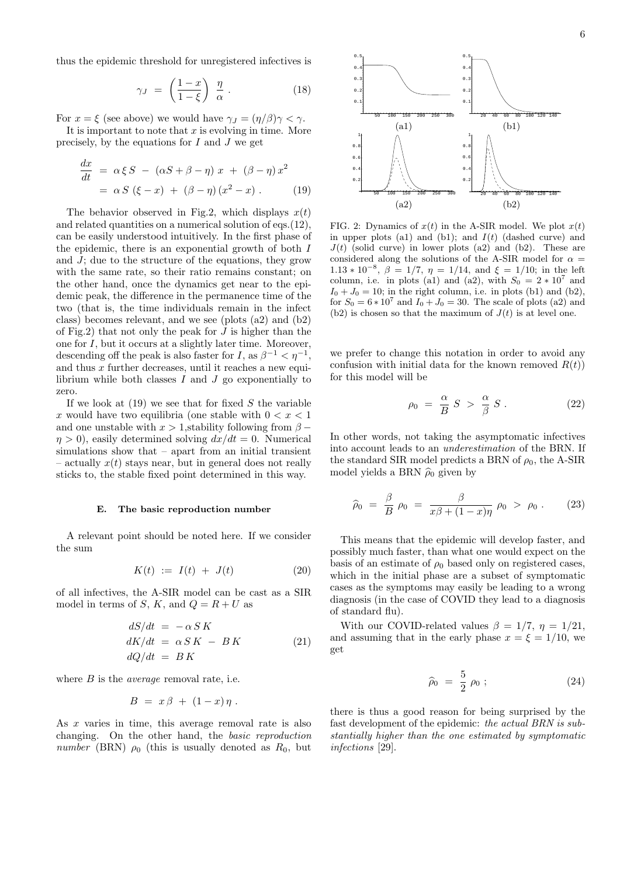thus the epidemic threshold for unregistered infectives is

$$
\gamma_J = \left(\frac{1-x}{1-\xi}\right) \frac{\eta}{\alpha} . \tag{18}
$$

For  $x = \xi$  (see above) we would have  $\gamma_J = (\eta/\beta)\gamma < \gamma$ .

It is important to note that *x* is evolving in time. More precisely, by the equations for *I* and *J* we get

$$
\frac{dx}{dt} = \alpha \xi S - (\alpha S + \beta - \eta) x + (\beta - \eta) x^2
$$

$$
= \alpha S (\xi - x) + (\beta - \eta) (x^2 - x). \tag{19}
$$

The behavior observed in Fig.2, which displays  $x(t)$ and related quantities on a numerical solution of eqs.(12), can be easily understood intuitively. In the first phase of the epidemic, there is an exponential growth of both *I* and *J*; due to the structure of the equations, they grow with the same rate, so their ratio remains constant; on the other hand, once the dynamics get near to the epidemic peak, the difference in the permanence time of the two (that is, the time individuals remain in the infect class) becomes relevant, and we see (plots (a2) and (b2) of Fig.2) that not only the peak for *J* is higher than the one for *I*, but it occurs at a slightly later time. Moreover, descending off the peak is also faster for *I*, as  $\beta^{-1} < \eta^{-1}$ , and thus *x* further decreases, until it reaches a new equilibrium while both classes *I* and *J* go exponentially to zero.

If we look at (19) we see that for fixed *S* the variable *x* would have two equilibria (one stable with  $0 < x < 1$ ) and one unstable with  $x > 1$ , stability following from  $\beta$  –  $\eta > 0$ , easily determined solving  $dx/dt = 0$ . Numerical simulations show that – apart from an initial transient  $\alpha$  – actually  $x(t)$  stays near, but in general does not really sticks to, the stable fixed point determined in this way.

#### **E. The basic reproduction number**

A relevant point should be noted here. If we consider the sum

$$
K(t) := I(t) + J(t) \tag{20}
$$

of all infectives, the A-SIR model can be cast as a SIR model in terms of *S*, *K*, and  $Q = R + U$  as

$$
dS/dt = -\alpha SK
$$
  
\n
$$
dK/dt = \alpha SK - BK
$$
\n(21)  
\n
$$
dQ/dt = BK
$$

where *B* is the *average* removal rate, i.e.

$$
B = x\beta + (1-x)\eta.
$$

As *x* varies in time, this average removal rate is also changing. On the other hand, the *basic reproduction number* (BRN)  $\rho_0$  (this is usually denoted as  $R_0$ , but



FIG. 2: Dynamics of  $x(t)$  in the A-SIR model. We plot  $x(t)$ in upper plots (a1) and (b1); and *I*(*t*) (dashed curve) and  $J(t)$  (solid curve) in lower plots (a2) and (b2). These are considered along the solutions of the A-SIR model for  $\alpha =$ <sup>1</sup>*.*<sup>13</sup> *<sup>∗</sup>* <sup>10</sup>*−*<sup>8</sup> , *β* = 1*/*7, *η* = 1*/*14, and *ξ* = 1*/*10; in the left column, i.e. in plots (a1) and (a2), with  $S_0 = 2 * 10^7$  and  $I_0 + J_0 = 10$ ; in the right column, i.e. in plots (b1) and (b2), for  $S_0 = 6 * 10^7$  and  $I_0 + J_0 = 30$ . The scale of plots (a2) and (b2) is chosen so that the maximum of  $J(t)$  is at level one.

we prefer to change this notation in order to avoid any confusion with initial data for the known removed  $R(t)$ ) for this model will be

$$
\rho_0 = \frac{\alpha}{B} S > \frac{\alpha}{\beta} S. \qquad (22)
$$

In other words, not taking the asymptomatic infectives into account leads to an *underestimation* of the BRN. If the standard SIR model predicts a BRN of  $\rho_0$ , the A-SIR model yields a BRN  $\hat{\rho}_0$  given by

$$
\widehat{\rho}_0 = \frac{\beta}{B} \rho_0 = \frac{\beta}{x\beta + (1-x)\eta} \rho_0 > \rho_0.
$$
 (23)

This means that the epidemic will develop faster, and possibly much faster, than what one would expect on the basis of an estimate of  $\rho_0$  based only on registered cases, which in the initial phase are a subset of symptomatic cases as the symptoms may easily be leading to a wrong diagnosis (in the case of COVID they lead to a diagnosis of standard flu).

With our COVID-related values  $\beta = 1/7$ ,  $\eta = 1/21$ , and assuming that in the early phase  $x = \xi = 1/10$ , we get

$$
\widehat{\rho}_0 = \frac{5}{2} \, \rho_0 \, ; \tag{24}
$$

there is thus a good reason for being surprised by the fast development of the epidemic: *the actual BRN is substantially higher than the one estimated by symptomatic infections* [29].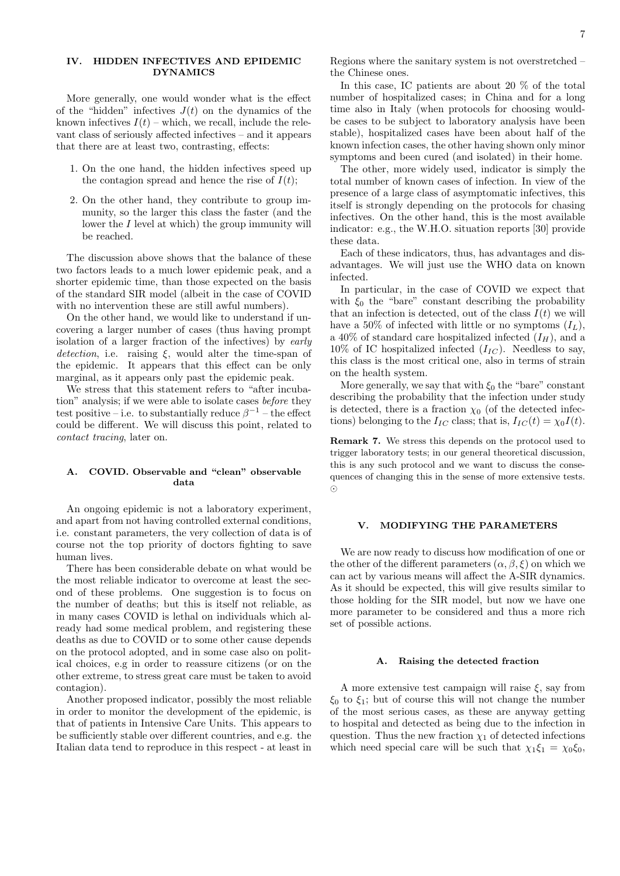### **IV. HIDDEN INFECTIVES AND EPIDEMIC DYNAMICS**

More generally, one would wonder what is the effect of the "hidden" infectives  $J(t)$  on the dynamics of the known infectives  $I(t)$  – which, we recall, include the relevant class of seriously affected infectives – and it appears that there are at least two, contrasting, effects:

- 1. On the one hand, the hidden infectives speed up the contagion spread and hence the rise of  $I(t)$ ;
- 2. On the other hand, they contribute to group immunity, so the larger this class the faster (and the lower the *I* level at which) the group immunity will be reached.

The discussion above shows that the balance of these two factors leads to a much lower epidemic peak, and a shorter epidemic time, than those expected on the basis of the standard SIR model (albeit in the case of COVID with no intervention these are still awful numbers).

On the other hand, we would like to understand if uncovering a larger number of cases (thus having prompt isolation of a larger fraction of the infectives) by *early detection*, i.e. raising *ξ*, would alter the time-span of the epidemic. It appears that this effect can be only marginal, as it appears only past the epidemic peak.

We stress that this statement refers to "after incubation" analysis; if we were able to isolate cases *before* they test positive – i.e. to substantially reduce  $\beta^{-1}$  – the effect could be different. We will discuss this point, related to *contact tracing*, later on.

# **A. COVID. Observable and "clean" observable data**

An ongoing epidemic is not a laboratory experiment, and apart from not having controlled external conditions, i.e. constant parameters, the very collection of data is of course not the top priority of doctors fighting to save human lives.

There has been considerable debate on what would be the most reliable indicator to overcome at least the second of these problems. One suggestion is to focus on the number of deaths; but this is itself not reliable, as in many cases COVID is lethal on individuals which already had some medical problem, and registering these deaths as due to COVID or to some other cause depends on the protocol adopted, and in some case also on political choices, e.g in order to reassure citizens (or on the other extreme, to stress great care must be taken to avoid contagion).

Another proposed indicator, possibly the most reliable in order to monitor the development of the epidemic, is that of patients in Intensive Care Units. This appears to be sufficiently stable over different countries, and e.g. the Italian data tend to reproduce in this respect - at least in

Regions where the sanitary system is not overstretched – the Chinese ones.

In this case, IC patients are about 20 % of the total number of hospitalized cases; in China and for a long time also in Italy (when protocols for choosing wouldbe cases to be subject to laboratory analysis have been stable), hospitalized cases have been about half of the known infection cases, the other having shown only minor symptoms and been cured (and isolated) in their home.

The other, more widely used, indicator is simply the total number of known cases of infection. In view of the presence of a large class of asymptomatic infectives, this itself is strongly depending on the protocols for chasing infectives. On the other hand, this is the most available indicator: e.g., the W.H.O. situation reports [30] provide these data.

Each of these indicators, thus, has advantages and disadvantages. We will just use the WHO data on known infected.

In particular, in the case of COVID we expect that with  $\xi_0$  the "bare" constant describing the probability that an infection is detected, out of the class  $I(t)$  we will have a 50% of infected with little or no symptoms  $(I_L)$ , a 40% of standard care hospitalized infected  $(I_H)$ , and a 10% of IC hospitalized infected  $(I_{IC})$ . Needless to say, this class is the most critical one, also in terms of strain on the health system.

More generally, we say that with  $\xi_0$  the "bare" constant describing the probability that the infection under study is detected, there is a fraction  $\chi_0$  (of the detected infections) belonging to the  $I_{IC}$  class; that is,  $I_{IC}(t) = \chi_0 I(t)$ .

**Remark 7.** We stress this depends on the protocol used to trigger laboratory tests; in our general theoretical discussion, this is any such protocol and we want to discuss the consequences of changing this in the sense of more extensive tests. *⊙*

### **V. MODIFYING THE PARAMETERS**

We are now ready to discuss how modification of one or the other of the different parameters  $(\alpha, \beta, \xi)$  on which we can act by various means will affect the A-SIR dynamics. As it should be expected, this will give results similar to those holding for the SIR model, but now we have one more parameter to be considered and thus a more rich set of possible actions.

#### **A. Raising the detected fraction**

A more extensive test campaign will raise *ξ*, say from  $\xi_0$  to  $\xi_1$ ; but of course this will not change the number of the most serious cases, as these are anyway getting to hospital and detected as being due to the infection in question. Thus the new fraction  $\chi_1$  of detected infections which need special care will be such that  $\chi_1 \xi_1 = \chi_0 \xi_0$ ,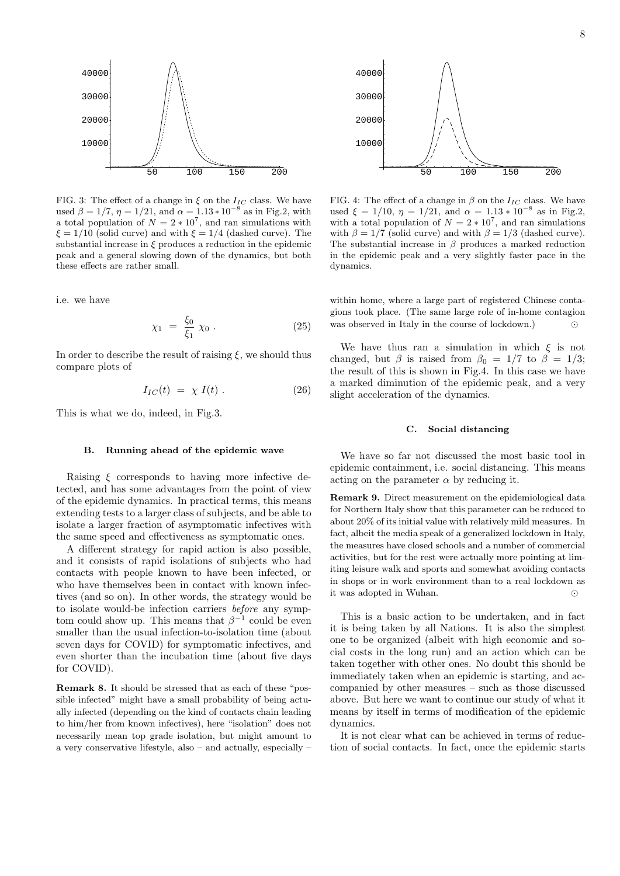

FIG. 3: The effect of a change in  $\xi$  on the  $I_{IC}$  class. We have used  $\beta = 1/7$ ,  $\eta = 1/21$ , and  $\alpha = 1.13 * 10^{-8}$  as in Fig.2, with a total population of  $N = 2 * 10^7$ , and ran simulations with  $\xi = 1/10$  (solid curve) and with  $\xi = 1/4$  (dashed curve). The substantial increase in *ξ* produces a reduction in the epidemic peak and a general slowing down of the dynamics, but both these effects are rather small.

i.e. we have

$$
\chi_1 = \frac{\xi_0}{\xi_1} \chi_0 \,. \tag{25}
$$

In order to describe the result of raising  $\xi$ , we should thus compare plots of

$$
I_{IC}(t) = \chi I(t) . \qquad (26)
$$

This is what we do, indeed, in Fig.3.

### **B. Running ahead of the epidemic wave**

Raising *ξ* corresponds to having more infective detected, and has some advantages from the point of view of the epidemic dynamics. In practical terms, this means extending tests to a larger class of subjects, and be able to isolate a larger fraction of asymptomatic infectives with the same speed and effectiveness as symptomatic ones.

A different strategy for rapid action is also possible, and it consists of rapid isolations of subjects who had contacts with people known to have been infected, or who have themselves been in contact with known infectives (and so on). In other words, the strategy would be to isolate would-be infection carriers *before* any symptom could show up. This means that  $\beta^{-1}$  could be even smaller than the usual infection-to-isolation time (about seven days for COVID) for symptomatic infectives, and even shorter than the incubation time (about five days for COVID).

**Remark 8.** It should be stressed that as each of these "possible infected" might have a small probability of being actually infected (depending on the kind of contacts chain leading to him/her from known infectives), here "isolation" does not necessarily mean top grade isolation, but might amount to a very conservative lifestyle, also – and actually, especially –



FIG. 4: The effect of a change in  $\beta$  on the  $I_{IC}$  class. We have used  $\xi = 1/10$ ,  $\eta = 1/21$ , and  $\alpha = 1.13 * 10^{-8}$  as in Fig.2, with a total population of  $N = 2 * 10^7$ , and ran simulations with  $\beta = 1/7$  (solid curve) and with  $\beta = 1/3$  (dashed curve). The substantial increase in *β* produces a marked reduction in the epidemic peak and a very slightly faster pace in the dynamics.

within home, where a large part of registered Chinese contagions took place. (The same large role of in-home contagion was observed in Italy in the course of lockdown.) *⊙*

We have thus ran a simulation in which  $\xi$  is not changed, but  $\beta$  is raised from  $\beta_0 = 1/7$  to  $\beta = 1/3$ ; the result of this is shown in Fig.4. In this case we have a marked diminution of the epidemic peak, and a very slight acceleration of the dynamics.

# **C. Social distancing**

We have so far not discussed the most basic tool in epidemic containment, i.e. social distancing. This means acting on the parameter  $\alpha$  by reducing it.

**Remark 9.** Direct measurement on the epidemiological data for Northern Italy show that this parameter can be reduced to about 20% of its initial value with relatively mild measures. In fact, albeit the media speak of a generalized lockdown in Italy, the measures have closed schools and a number of commercial activities, but for the rest were actually more pointing at limiting leisure walk and sports and somewhat avoiding contacts in shops or in work environment than to a real lockdown as it was adopted in Wuhan. *⊙*

This is a basic action to be undertaken, and in fact it is being taken by all Nations. It is also the simplest one to be organized (albeit with high economic and social costs in the long run) and an action which can be taken together with other ones. No doubt this should be immediately taken when an epidemic is starting, and accompanied by other measures – such as those discussed above. But here we want to continue our study of what it means by itself in terms of modification of the epidemic dynamics.

It is not clear what can be achieved in terms of reduction of social contacts. In fact, once the epidemic starts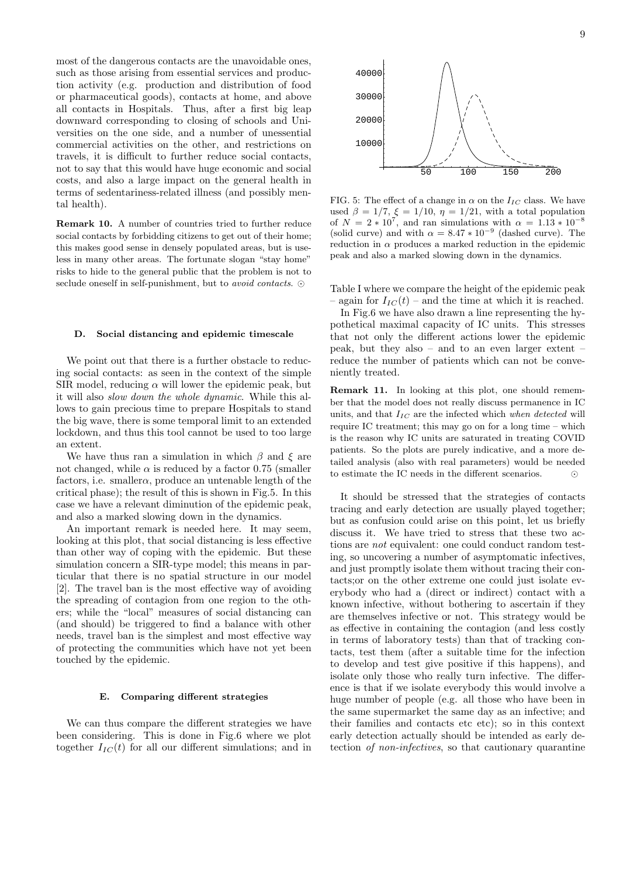most of the dangerous contacts are the unavoidable ones, such as those arising from essential services and production activity (e.g. production and distribution of food or pharmaceutical goods), contacts at home, and above all contacts in Hospitals. Thus, after a first big leap downward corresponding to closing of schools and Universities on the one side, and a number of unessential commercial activities on the other, and restrictions on travels, it is difficult to further reduce social contacts, not to say that this would have huge economic and social costs, and also a large impact on the general health in terms of sedentariness-related illness (and possibly mental health).

**Remark 10.** A number of countries tried to further reduce social contacts by forbidding citizens to get out of their home; this makes good sense in densely populated areas, but is useless in many other areas. The fortunate slogan "stay home" risks to hide to the general public that the problem is not to seclude oneself in self-punishment, but to *avoid contacts*. *⊙*

### **D. Social distancing and epidemic timescale**

We point out that there is a further obstacle to reducing social contacts: as seen in the context of the simple SIR model, reducing  $\alpha$  will lower the epidemic peak, but it will also *slow down the whole dynamic*. While this allows to gain precious time to prepare Hospitals to stand the big wave, there is some temporal limit to an extended lockdown, and thus this tool cannot be used to too large an extent.

We have thus ran a simulation in which *β* and *ξ* are not changed, while  $\alpha$  is reduced by a factor 0.75 (smaller factors, i.e. smaller $\alpha$ , produce an untenable length of the critical phase); the result of this is shown in Fig.5. In this case we have a relevant diminution of the epidemic peak, and also a marked slowing down in the dynamics.

An important remark is needed here. It may seem, looking at this plot, that social distancing is less effective than other way of coping with the epidemic. But these simulation concern a SIR-type model; this means in particular that there is no spatial structure in our model [2]. The travel ban is the most effective way of avoiding the spreading of contagion from one region to the others; while the "local" measures of social distancing can (and should) be triggered to find a balance with other needs, travel ban is the simplest and most effective way of protecting the communities which have not yet been touched by the epidemic.

#### **E. Comparing different strategies**

We can thus compare the different strategies we have been considering. This is done in Fig.6 where we plot together  $I_{IC}(t)$  for all our different simulations; and in



FIG. 5: The effect of a change in  $\alpha$  on the  $I_{IC}$  class. We have used  $\beta = 1/7$ ,  $\xi = 1/10$ ,  $\eta = 1/21$ , with a total population of  $N = 2 * 10^7$ , and ran simulations with  $\alpha = 1.13 * 10^{-8}$ (solid curve) and with  $\alpha = 8.47 \times 10^{-9}$  (dashed curve). The reduction in  $\alpha$  produces a marked reduction in the epidemic peak and also a marked slowing down in the dynamics.

Table I where we compare the height of the epidemic peak again for  $I_{IC}(t)$  – and the time at which it is reached.

In Fig.6 we have also drawn a line representing the hypothetical maximal capacity of IC units. This stresses that not only the different actions lower the epidemic peak, but they also – and to an even larger extent – reduce the number of patients which can not be conveniently treated.

**Remark 11.** In looking at this plot, one should remember that the model does not really discuss permanence in IC units, and that  $I_{IC}$  are the infected which *when detected* will require IC treatment; this may go on for a long time – which is the reason why IC units are saturated in treating COVID patients. So the plots are purely indicative, and a more detailed analysis (also with real parameters) would be needed to estimate the IC needs in the different scenarios. *⊙*

It should be stressed that the strategies of contacts tracing and early detection are usually played together; but as confusion could arise on this point, let us briefly discuss it. We have tried to stress that these two actions are *not* equivalent: one could conduct random testing, so uncovering a number of asymptomatic infectives, and just promptly isolate them without tracing their contacts;or on the other extreme one could just isolate everybody who had a (direct or indirect) contact with a known infective, without bothering to ascertain if they are themselves infective or not. This strategy would be as effective in containing the contagion (and less costly in terms of laboratory tests) than that of tracking contacts, test them (after a suitable time for the infection to develop and test give positive if this happens), and isolate only those who really turn infective. The difference is that if we isolate everybody this would involve a huge number of people (e.g. all those who have been in the same supermarket the same day as an infective; and their families and contacts etc etc); so in this context early detection actually should be intended as early detection *of non-infectives*, so that cautionary quarantine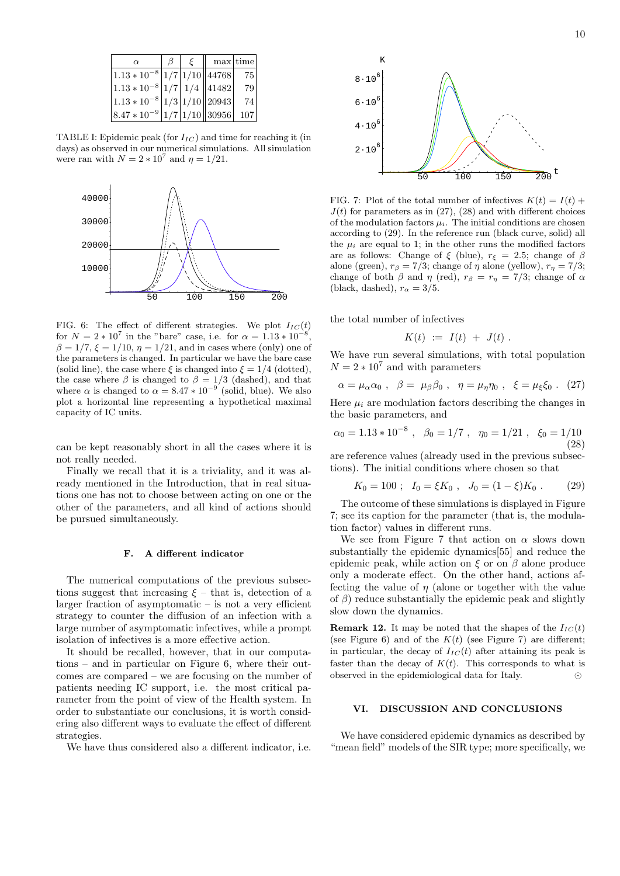| $\alpha$                                                                |  | max time |    |
|-------------------------------------------------------------------------|--|----------|----|
| $1.13 * 10^{-8}  1/7 1/10  44768$                                       |  |          | 75 |
| $1.13 * 10^{-8}$ 1/7 $1/4$ 41482                                        |  |          | 79 |
| $1.13 * 10^{-8}  1/3 1/10 20943$                                        |  |          | 74 |
| $\left 8.47 * 10^{-9}\right 1/7\left 1/10\right \left 30956\right $ 107 |  |          |    |

TABLE I: Epidemic peak (for  $I_{IC}$ ) and time for reaching it (in days) as observed in our numerical simulations. All simulation were ran with  $N = 2 * 10^7$  and  $\eta = 1/21$ .



FIG. 6: The effect of different strategies. We plot  $I_{IC}(t)$ for  $N = 2 * 10^7$  in the "bare" case, i.e. for  $\alpha = 1.13 * 10^{-8}$ ,  $\beta = 1/7$ ,  $\xi = 1/10$ ,  $\eta = 1/21$ , and in cases where (only) one of the parameters is changed. In particular we have the bare case (solid line), the case where  $\xi$  is changed into  $\xi = 1/4$  (dotted), the case where  $\beta$  is changed to  $\beta = 1/3$  (dashed), and that where  $\alpha$  is changed to  $\alpha = 8.47 \times 10^{-9}$  (solid, blue). We also plot a horizontal line representing a hypothetical maximal capacity of IC units.

can be kept reasonably short in all the cases where it is not really needed.

Finally we recall that it is a triviality, and it was already mentioned in the Introduction, that in real situations one has not to choose between acting on one or the other of the parameters, and all kind of actions should be pursued simultaneously.

#### **F. A different indicator**

The numerical computations of the previous subsections suggest that increasing  $\xi$  – that is, detection of a larger fraction of asymptomatic  $-$  is not a very efficient strategy to counter the diffusion of an infection with a large number of asymptomatic infectives, while a prompt isolation of infectives is a more effective action.

It should be recalled, however, that in our computations – and in particular on Figure 6, where their outcomes are compared – we are focusing on the number of patients needing IC support, i.e. the most critical parameter from the point of view of the Health system. In order to substantiate our conclusions, it is worth considering also different ways to evaluate the effect of different strategies.

We have thus considered also a different indicator, i.e.



FIG. 7: Plot of the total number of infectives  $K(t) = I(t) +$  $J(t)$  for parameters as in  $(27)$ ,  $(28)$  and with different choices of the modulation factors  $\mu_i$ . The initial conditions are chosen according to (29). In the reference run (black curve, solid) all the  $\mu_i$  are equal to 1; in the other runs the modified factors are as follows: Change of  $\xi$  (blue),  $r_{\xi} = 2.5$ ; change of  $\beta$ alone (green),  $r_\beta = 7/3$ ; change of  $\eta$  alone (yellow),  $r_\eta = 7/3$ ; change of both  $\beta$  and  $\eta$  (red),  $r_{\beta} = r_{\eta} = 7/3$ ; change of  $\alpha$ (black, dashed),  $r_{\alpha} = 3/5$ .

the total number of infectives

$$
K(t) := I(t) + J(t) .
$$

We have run several simulations, with total population  $N=2*10^7$  and with parameters

*α* =  $\mu_{\alpha} \alpha_0$ ,  $\beta = \mu_{\beta} \beta_0$ ,  $\eta = \mu_{\eta} \eta_0$ ,  $\xi = \mu_{\xi} \xi_0$ . (27) Here  $\mu_i$  are modulation factors describing the changes in the basic parameters, and

$$
\alpha_0 = 1.13 \times 10^{-8}
$$
,  $\beta_0 = 1/7$ ,  $\eta_0 = 1/21$ ,  $\xi_0 = 1/10$  (28)

are reference values (already used in the previous subsections). The initial conditions where chosen so that

$$
K_0 = 100 \; ; \; I_0 = \xi K_0 \; , \; J_0 = (1 - \xi) K_0 \; . \tag{29}
$$

The outcome of these simulations is displayed in Figure 7; see its caption for the parameter (that is, the modulation factor) values in different runs.

We see from Figure 7 that action on  $\alpha$  slows down substantially the epidemic dynamics[55] and reduce the epidemic peak, while action on *ξ* or on *β* alone produce only a moderate effect. On the other hand, actions affecting the value of *η* (alone or together with the value of *β*) reduce substantially the epidemic peak and slightly slow down the dynamics.

**Remark 12.** It may be noted that the shapes of the  $I_{IC}(t)$ (see Figure 6) and of the  $K(t)$  (see Figure 7) are different; in particular, the decay of  $I_{IC}(t)$  after attaining its peak is faster than the decay of  $K(t)$ . This corresponds to what is observed in the epidemiological data for Italy. *⊙*

### **VI. DISCUSSION AND CONCLUSIONS**

We have considered epidemic dynamics as described by "mean field" models of the SIR type; more specifically, we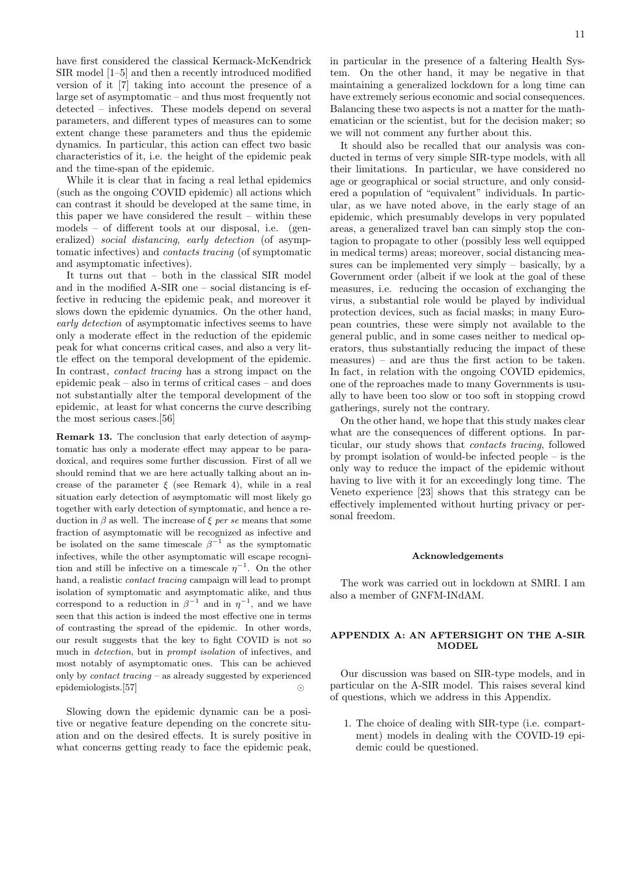11

have first considered the classical Kermack-McKendrick SIR model [1–5] and then a recently introduced modified version of it [7] taking into account the presence of a large set of asymptomatic – and thus most frequently not detected – infectives. These models depend on several parameters, and different types of measures can to some extent change these parameters and thus the epidemic dynamics. In particular, this action can effect two basic characteristics of it, i.e. the height of the epidemic peak and the time-span of the epidemic.

While it is clear that in facing a real lethal epidemics (such as the ongoing COVID epidemic) all actions which can contrast it should be developed at the same time, in this paper we have considered the result – within these models – of different tools at our disposal, i.e. (generalized) *social distancing*, *early detection* (of asymptomatic infectives) and *contacts tracing* (of symptomatic and asymptomatic infectives).

It turns out that – both in the classical SIR model and in the modified A-SIR one – social distancing is effective in reducing the epidemic peak, and moreover it slows down the epidemic dynamics. On the other hand, *early detection* of asymptomatic infectives seems to have only a moderate effect in the reduction of the epidemic peak for what concerns critical cases, and also a very little effect on the temporal development of the epidemic. In contrast, *contact tracing* has a strong impact on the epidemic peak – also in terms of critical cases – and does not substantially alter the temporal development of the epidemic, at least for what concerns the curve describing the most serious cases.[56]

**Remark 13.** The conclusion that early detection of asymptomatic has only a moderate effect may appear to be paradoxical, and requires some further discussion. First of all we should remind that we are here actually talking about an increase of the parameter  $\xi$  (see Remark 4), while in a real situation early detection of asymptomatic will most likely go together with early detection of symptomatic, and hence a reduction in *β* as well. The increase of *ξ per se* means that some fraction of asymptomatic will be recognized as infective and be isolated on the same timescale  $\beta^{-1}$  as the symptomatic infectives, while the other asymptomatic will escape recognition and still be infective on a timescale  $\eta^{-1}$ . On the other hand, a realistic *contact tracing* campaign will lead to prompt isolation of symptomatic and asymptomatic alike, and thus correspond to a reduction in  $\beta^{-1}$  and in  $\eta^{-1}$ , and we have seen that this action is indeed the most effective one in terms of contrasting the spread of the epidemic. In other words, our result suggests that the key to fight COVID is not so much in *detection*, but in *prompt isolation* of infectives, and most notably of asymptomatic ones. This can be achieved only by *contact tracing* – as already suggested by experienced epidemiologists.[57] *⊙*

Slowing down the epidemic dynamic can be a positive or negative feature depending on the concrete situation and on the desired effects. It is surely positive in what concerns getting ready to face the epidemic peak,

in particular in the presence of a faltering Health System. On the other hand, it may be negative in that maintaining a generalized lockdown for a long time can have extremely serious economic and social consequences. Balancing these two aspects is not a matter for the mathematician or the scientist, but for the decision maker; so we will not comment any further about this.

It should also be recalled that our analysis was conducted in terms of very simple SIR-type models, with all their limitations. In particular, we have considered no age or geographical or social structure, and only considered a population of "equivalent" individuals. In particular, as we have noted above, in the early stage of an epidemic, which presumably develops in very populated areas, a generalized travel ban can simply stop the contagion to propagate to other (possibly less well equipped in medical terms) areas; moreover, social distancing measures can be implemented very simply – basically, by a Government order (albeit if we look at the goal of these measures, i.e. reducing the occasion of exchanging the virus, a substantial role would be played by individual protection devices, such as facial masks; in many European countries, these were simply not available to the general public, and in some cases neither to medical operators, thus substantially reducing the impact of these measures) – and are thus the first action to be taken. In fact, in relation with the ongoing COVID epidemics, one of the reproaches made to many Governments is usually to have been too slow or too soft in stopping crowd gatherings, surely not the contrary.

On the other hand, we hope that this study makes clear what are the consequences of different options. In particular, our study shows that *contacts tracing*, followed by prompt isolation of would-be infected people – is the only way to reduce the impact of the epidemic without having to live with it for an exceedingly long time. The Veneto experience [23] shows that this strategy can be effectively implemented without hurting privacy or personal freedom.

#### **Acknowledgements**

The work was carried out in lockdown at SMRI. I am also a member of GNFM-INdAM.

# **APPENDIX A: AN AFTERSIGHT ON THE A-SIR MODEL**

Our discussion was based on SIR-type models, and in particular on the A-SIR model. This raises several kind of questions, which we address in this Appendix.

1. The choice of dealing with SIR-type (i.e. compartment) models in dealing with the COVID-19 epidemic could be questioned.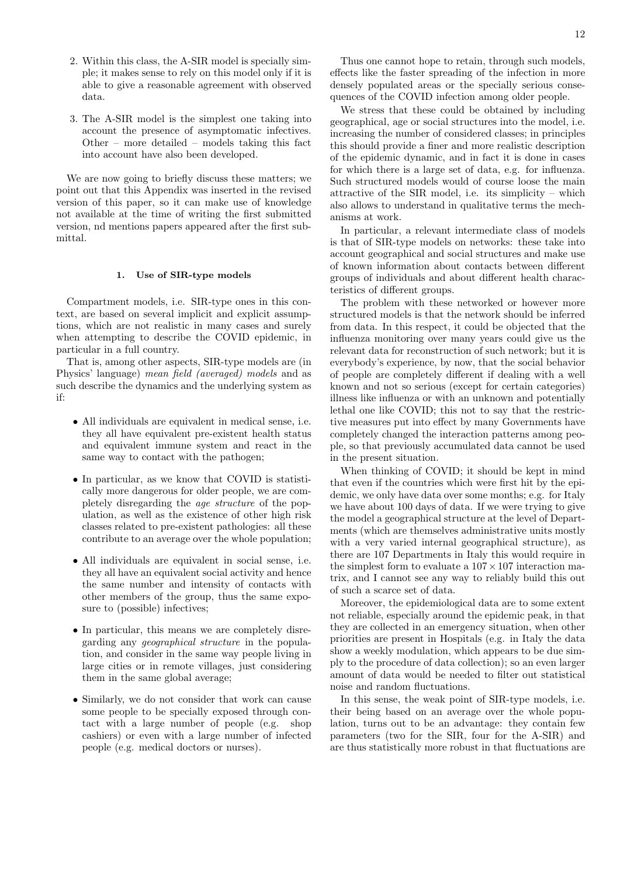- 2. Within this class, the A-SIR model is specially simple; it makes sense to rely on this model only if it is able to give a reasonable agreement with observed data.
- 3. The A-SIR model is the simplest one taking into account the presence of asymptomatic infectives. Other – more detailed – models taking this fact into account have also been developed.

We are now going to briefly discuss these matters; we point out that this Appendix was inserted in the revised version of this paper, so it can make use of knowledge not available at the time of writing the first submitted version, nd mentions papers appeared after the first submittal.

### **1. Use of SIR-type models**

Compartment models, i.e. SIR-type ones in this context, are based on several implicit and explicit assumptions, which are not realistic in many cases and surely when attempting to describe the COVID epidemic, in particular in a full country.

That is, among other aspects, SIR-type models are (in Physics' language) *mean field (averaged) models* and as such describe the dynamics and the underlying system as if:

- *•* All individuals are equivalent in medical sense, i.e. they all have equivalent pre-existent health status and equivalent immune system and react in the same way to contact with the pathogen;
- In particular, as we know that COVID is statistically more dangerous for older people, we are completely disregarding the *age structure* of the population, as well as the existence of other high risk classes related to pre-existent pathologies: all these contribute to an average over the whole population;
- All individuals are equivalent in social sense, i.e. they all have an equivalent social activity and hence the same number and intensity of contacts with other members of the group, thus the same exposure to (possible) infectives;
- In particular, this means we are completely disregarding any *geographical structure* in the population, and consider in the same way people living in large cities or in remote villages, just considering them in the same global average;
- *•* Similarly, we do not consider that work can cause some people to be specially exposed through contact with a large number of people (e.g. shop cashiers) or even with a large number of infected people (e.g. medical doctors or nurses).

Thus one cannot hope to retain, through such models, effects like the faster spreading of the infection in more densely populated areas or the specially serious consequences of the COVID infection among older people.

We stress that these could be obtained by including geographical, age or social structures into the model, i.e. increasing the number of considered classes; in principles this should provide a finer and more realistic description of the epidemic dynamic, and in fact it is done in cases for which there is a large set of data, e.g. for influenza. Such structured models would of course loose the main attractive of the SIR model, i.e. its simplicity – which also allows to understand in qualitative terms the mechanisms at work.

In particular, a relevant intermediate class of models is that of SIR-type models on networks: these take into account geographical and social structures and make use of known information about contacts between different groups of individuals and about different health characteristics of different groups.

The problem with these networked or however more structured models is that the network should be inferred from data. In this respect, it could be objected that the influenza monitoring over many years could give us the relevant data for reconstruction of such network; but it is everybody's experience, by now, that the social behavior of people are completely different if dealing with a well known and not so serious (except for certain categories) illness like influenza or with an unknown and potentially lethal one like COVID; this not to say that the restrictive measures put into effect by many Governments have completely changed the interaction patterns among people, so that previously accumulated data cannot be used in the present situation.

When thinking of COVID; it should be kept in mind that even if the countries which were first hit by the epidemic, we only have data over some months; e.g. for Italy we have about 100 days of data. If we were trying to give the model a geographical structure at the level of Departments (which are themselves administrative units mostly with a very varied internal geographical structure), as there are 107 Departments in Italy this would require in the simplest form to evaluate a 107*×*107 interaction matrix, and I cannot see any way to reliably build this out of such a scarce set of data.

Moreover, the epidemiological data are to some extent not reliable, especially around the epidemic peak, in that they are collected in an emergency situation, when other priorities are present in Hospitals (e.g. in Italy the data show a weekly modulation, which appears to be due simply to the procedure of data collection); so an even larger amount of data would be needed to filter out statistical noise and random fluctuations.

In this sense, the weak point of SIR-type models, i.e. their being based on an average over the whole population, turns out to be an advantage: they contain few parameters (two for the SIR, four for the A-SIR) and are thus statistically more robust in that fluctuations are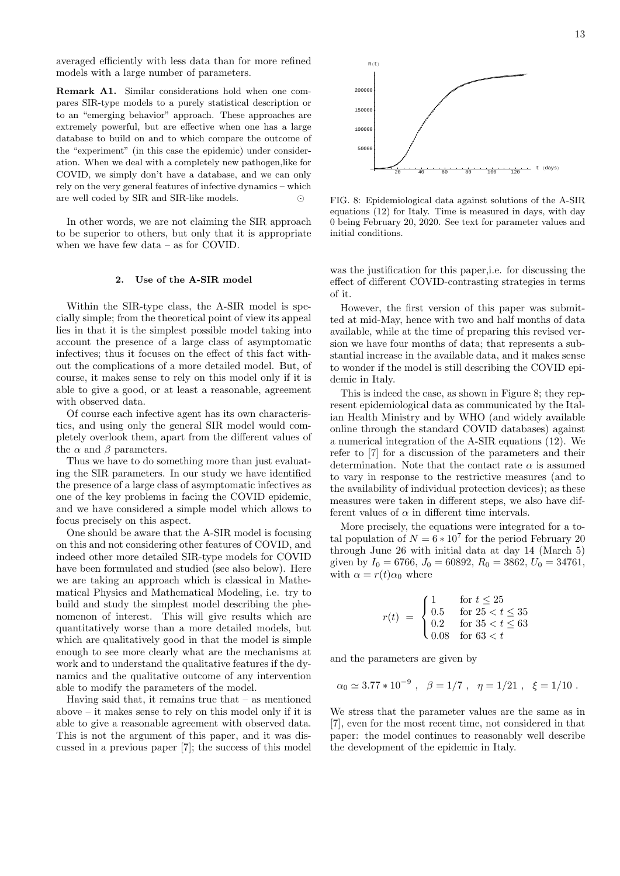averaged efficiently with less data than for more refined models with a large number of parameters.

**Remark A1.** Similar considerations hold when one compares SIR-type models to a purely statistical description or to an "emerging behavior" approach. These approaches are extremely powerful, but are effective when one has a large database to build on and to which compare the outcome of the "experiment" (in this case the epidemic) under consideration. When we deal with a completely new pathogen,like for COVID, we simply don't have a database, and we can only rely on the very general features of infective dynamics – which are well coded by SIR and SIR-like models.

In other words, we are not claiming the SIR approach to be superior to others, but only that it is appropriate when we have few data – as for COVID.

### **2. Use of the A-SIR model**

Within the SIR-type class, the A-SIR model is specially simple; from the theoretical point of view its appeal lies in that it is the simplest possible model taking into account the presence of a large class of asymptomatic infectives; thus it focuses on the effect of this fact without the complications of a more detailed model. But, of course, it makes sense to rely on this model only if it is able to give a good, or at least a reasonable, agreement with observed data.

Of course each infective agent has its own characteristics, and using only the general SIR model would completely overlook them, apart from the different values of the  $\alpha$  and  $\beta$  parameters.

Thus we have to do something more than just evaluating the SIR parameters. In our study we have identified the presence of a large class of asymptomatic infectives as one of the key problems in facing the COVID epidemic, and we have considered a simple model which allows to focus precisely on this aspect.

One should be aware that the A-SIR model is focusing on this and not considering other features of COVID, and indeed other more detailed SIR-type models for COVID have been formulated and studied (see also below). Here we are taking an approach which is classical in Mathematical Physics and Mathematical Modeling, i.e. try to build and study the simplest model describing the phenomenon of interest. This will give results which are quantitatively worse than a more detailed models, but which are qualitatively good in that the model is simple enough to see more clearly what are the mechanisms at work and to understand the qualitative features if the dynamics and the qualitative outcome of any intervention able to modify the parameters of the model.

Having said that, it remains true that  $-$  as mentioned above – it makes sense to rely on this model only if it is able to give a reasonable agreement with observed data. This is not the argument of this paper, and it was discussed in a previous paper [7]; the success of this model



FIG. 8: Epidemiological data against solutions of the A-SIR equations (12) for Italy. Time is measured in days, with day 0 being February 20, 2020. See text for parameter values and initial conditions.

was the justification for this paper,i.e. for discussing the effect of different COVID-contrasting strategies in terms of it.

However, the first version of this paper was submitted at mid-May, hence with two and half months of data available, while at the time of preparing this revised version we have four months of data; that represents a substantial increase in the available data, and it makes sense to wonder if the model is still describing the COVID epidemic in Italy.

This is indeed the case, as shown in Figure 8; they represent epidemiological data as communicated by the Italian Health Ministry and by WHO (and widely available online through the standard COVID databases) against a numerical integration of the A-SIR equations (12). We refer to [7] for a discussion of the parameters and their determination. Note that the contact rate  $\alpha$  is assumed to vary in response to the restrictive measures (and to the availability of individual protection devices); as these measures were taken in different steps, we also have different values of  $\alpha$  in different time intervals.

More precisely, the equations were integrated for a total population of  $N = 6 * 10^7$  for the period February 20 through June 26 with initial data at day 14 (March 5) given by  $I_0 = 6766$ ,  $J_0 = 60892$ ,  $R_0 = 3862$ ,  $U_0 = 34761$ , with  $\alpha = r(t)\alpha_0$  where

$$
r(t) = \begin{cases} 1 & \text{for } t \le 25 \\ 0.5 & \text{for } 25 < t \le 35 \\ 0.2 & \text{for } 35 < t \le 63 \\ 0.08 & \text{for } 63 < t \end{cases}
$$

and the parameters are given by

$$
\alpha_0 \simeq 3.77 \times 10^{-9}
$$
,  $\beta = 1/7$ ,  $\eta = 1/21$ ,  $\xi = 1/10$ .

We stress that the parameter values are the same as in [7], even for the most recent time, not considered in that paper: the model continues to reasonably well describe the development of the epidemic in Italy.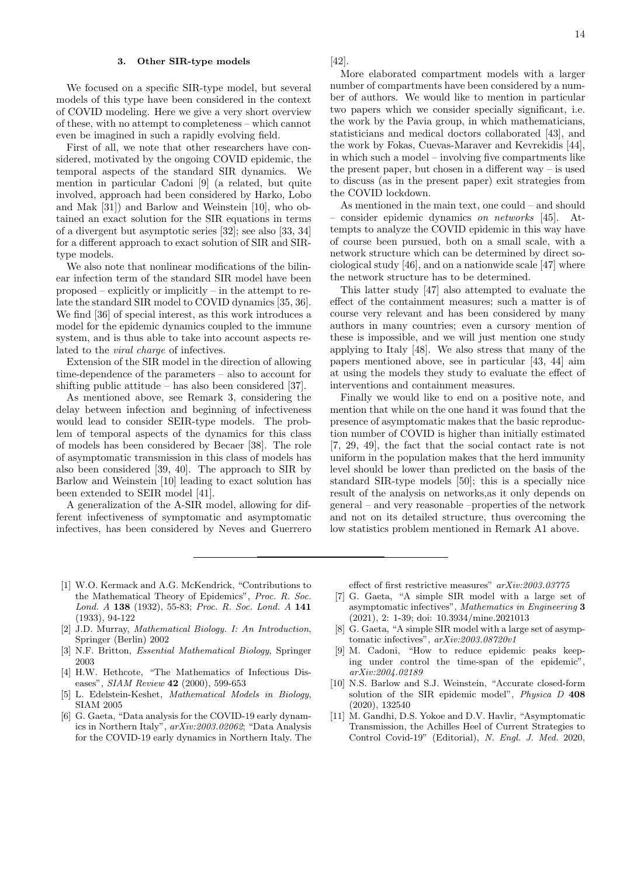# **3. Other SIR-type models**

We focused on a specific SIR-type model, but several models of this type have been considered in the context of COVID modeling. Here we give a very short overview of these, with no attempt to completeness – which cannot even be imagined in such a rapidly evolving field.

First of all, we note that other researchers have considered, motivated by the ongoing COVID epidemic, the temporal aspects of the standard SIR dynamics. We mention in particular Cadoni [9] (a related, but quite involved, approach had been considered by Harko, Lobo and Mak [31]) and Barlow and Weinstein [10], who obtained an exact solution for the SIR equations in terms of a divergent but asymptotic series [32]; see also [33, 34] for a different approach to exact solution of SIR and SIRtype models.

We also note that nonlinear modifications of the bilinear infection term of the standard SIR model have been proposed – explicitly or implicitly – in the attempt to relate the standard SIR model to COVID dynamics [35, 36]. We find [36] of special interest, as this work introduces a model for the epidemic dynamics coupled to the immune system, and is thus able to take into account aspects related to the *viral charge* of infectives.

Extension of the SIR model in the direction of allowing time-dependence of the parameters – also to account for shifting public attitude – has also been considered [37].

As mentioned above, see Remark 3, considering the delay between infection and beginning of infectiveness would lead to consider SEIR-type models. The problem of temporal aspects of the dynamics for this class of models has been considered by Becaer [38]. The role of asymptomatic transmission in this class of models has also been considered [39, 40]. The approach to SIR by Barlow and Weinstein [10] leading to exact solution has been extended to SEIR model [41].

A generalization of the A-SIR model, allowing for different infectiveness of symptomatic and asymptomatic infectives, has been considered by Neves and Guerrero [42].

More elaborated compartment models with a larger number of compartments have been considered by a number of authors. We would like to mention in particular two papers which we consider specially significant, i.e. the work by the Pavia group, in which mathematicians, statisticians and medical doctors collaborated [43], and the work by Fokas, Cuevas-Maraver and Kevrekidis [44], in which such a model – involving five compartments like the present paper, but chosen in a different way – is used to discuss (as in the present paper) exit strategies from the COVID lockdown.

As mentioned in the main text, one could – and should – consider epidemic dynamics *on networks* [45]. Attempts to analyze the COVID epidemic in this way have of course been pursued, both on a small scale, with a network structure which can be determined by direct sociological study [46], and on a nationwide scale [47] where the network structure has to be determined.

This latter study [47] also attempted to evaluate the effect of the containment measures; such a matter is of course very relevant and has been considered by many authors in many countries; even a cursory mention of these is impossible, and we will just mention one study applying to Italy [48]. We also stress that many of the papers mentioned above, see in particular [43, 44] aim at using the models they study to evaluate the effect of interventions and containment measures.

Finally we would like to end on a positive note, and mention that while on the one hand it was found that the presence of asymptomatic makes that the basic reproduction number of COVID is higher than initially estimated [7, 29, 49], the fact that the social contact rate is not uniform in the population makes that the herd immunity level should be lower than predicted on the basis of the standard SIR-type models [50]; this is a specially nice result of the analysis on networks,as it only depends on general – and very reasonable –properties of the network and not on its detailed structure, thus overcoming the low statistics problem mentioned in Remark A1 above.

- [1] W.O. Kermack and A.G. McKendrick, "Contributions to the Mathematical Theory of Epidemics", *Proc. R. Soc. Lond. A* **138** (1932), 55-83; *Proc. R. Soc. Lond. A* **141** (1933), 94-122
- [2] J.D. Murray, *Mathematical Biology. I: An Introduction*, Springer (Berlin) 2002
- [3] N.F. Britton, *Essential Mathematical Biology*, Springer 2003
- [4] H.W. Hethcote, "The Mathematics of Infectious Diseases", *SIAM Review* **42** (2000), 599-653
- [5] L. Edelstein-Keshet, *Mathematical Models in Biology*, SIAM 2005
- [6] G. Gaeta, "Data analysis for the COVID-19 early dynamics in Northern Italy", *arXiv:2003.02062*; "Data Analysis for the COVID-19 early dynamics in Northern Italy. The

effect of first restrictive measures" *arXiv:2003.03775*

- [7] G. Gaeta, "A simple SIR model with a large set of asymptomatic infectives", *Mathematics in Engineering* **3** (2021), 2: 1-39; doi: 10.3934/mine.2021013
- [8] G. Gaeta, "A simple SIR model with a large set of asymptomatic infectives", *arXiv:2003.08720v1*
- [9] M. Cadoni, "How to reduce epidemic peaks keeping under control the time-span of the epidemic", *arXiv:2004.02189*
- [10] N.S. Barlow and S.J. Weinstein, "Accurate closed-form solution of the SIR epidemic model", *Physica D* **408** (2020), 132540
- [11] M. Gandhi, D.S. Yokoe and D.V. Havlir, "Asymptomatic Transmission, the Achilles Heel of Current Strategies to Control Covid-19" (Editorial), *N. Engl. J. Med.* 2020,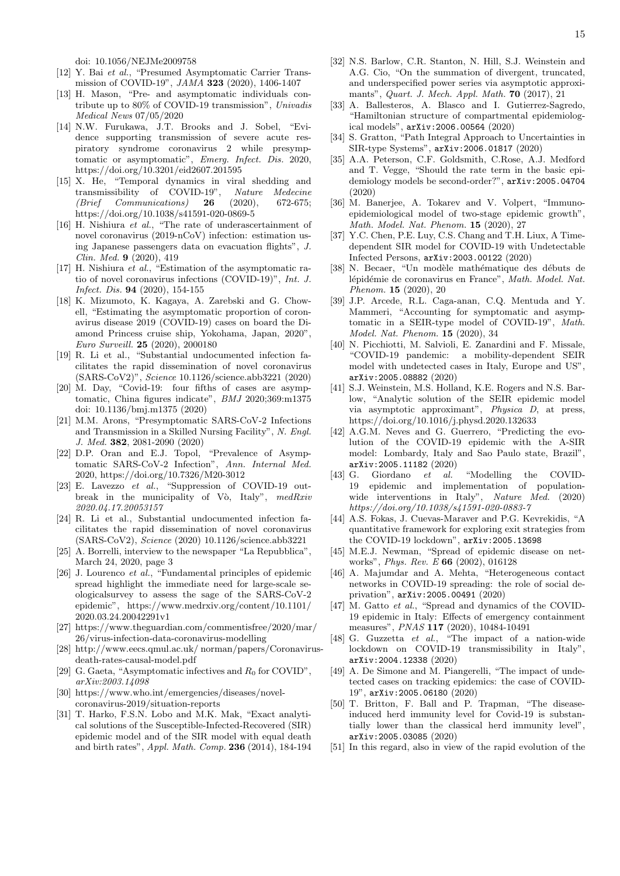doi: 10.1056/NEJMe2009758

- [12] Y. Bai *et al.*, "Presumed Asymptomatic Carrier Transmission of COVID-19", *JAMA* **323** (2020), 1406-1407
- [13] H. Mason, "Pre- and asymptomatic individuals contribute up to 80% of COVID-19 transmission", *Univadis Medical News* 07/05/2020
- [14] N.W. Furukawa, J.T. Brooks and J. Sobel, "Evidence supporting transmission of severe acute respiratory syndrome coronavirus 2 while presymptomatic or asymptomatic", *Emerg. Infect. Dis.* 2020, https://doi.org/10.3201/eid2607.201595
- [15] X. He, "Temporal dynamics in viral shedding and transmissibility of COVID-19", *Nature Medecine (Brief Communications)* **26** (2020), 672-675; https://doi.org/10.1038/s41591-020-0869-5
- [16] H. Nishiura *et al.*, "The rate of underascertainment of novel coronavirus (2019-nCoV) infection: estimation using Japanese passengers data on evacuation flights", *J. Clin. Med.* **9** (2020), 419
- [17] H. Nishiura *et al.*, "Estimation of the asymptomatic ratio of novel coronavirus infections (COVID-19)", *Int. J. Infect. Dis.* **94** (2020), 154-155
- [18] K. Mizumoto, K. Kagaya, A. Zarebski and G. Chowell, "Estimating the asymptomatic proportion of coronavirus disease 2019 (COVID-19) cases on board the Diamond Princess cruise ship, Yokohama, Japan, 2020", *Euro Surveill.* **25** (2020), 2000180
- [19] R. Li et al., "Substantial undocumented infection facilitates the rapid dissemination of novel coronavirus (SARS-CoV2)", *Science* 10.1126/science.abb3221 (2020)
- [20] M. Day, "Covid-19: four fifths of cases are asymptomatic, China figures indicate", *BMJ* 2020;369:m1375 doi: 10.1136/bmj.m1375 (2020)
- [21] M.M. Arons, "Presymptomatic SARS-CoV-2 Infections and Transmission in a Skilled Nursing Facility", *N. Engl. J. Med.* **382**, 2081-2090 (2020)
- [22] D.P. Oran and E.J. Topol, "Prevalence of Asymptomatic SARS-CoV-2 Infection", *Ann. Internal Med.* 2020, https://doi.org/10.7326/M20-3012
- [23] E. Lavezzo *et al.*, "Suppression of COVID-19 outbreak in the municipality of Vò, Italy",  $medRxiv$ *2020.04.17.20053157*
- [24] R. Li et al., Substantial undocumented infection facilitates the rapid dissemination of novel coronavirus (SARS-CoV2), *Science* (2020) 10.1126/science.abb3221
- [25] A. Borrelli, interview to the newspaper "La Repubblica", March 24, 2020, page 3
- [26] J. Lourenco *et al.*, "Fundamental principles of epidemic spread highlight the immediate need for large-scale seologicalsurvey to assess the sage of the SARS-CoV-2 epidemic", https://www.medrxiv.org/content/10.1101/ 2020.03.24.20042291v1
- [27] https://www.theguardian.com/commentisfree/2020/mar/ 26/virus-infection-data-coronavirus-modelling
- [28] http://www.eecs.qmul.ac.uk/ norman/papers/Coronavirusdeath-rates-causal-model.pdf
- [29] G. Gaeta, "Asymptomatic infectives and  $R_0$  for COVID", *arXiv:2003.14098*
- [30] https://www.who.int/emergencies/diseases/novelcoronavirus-2019/situation-reports
- [31] T. Harko, F.S.N. Lobo and M.K. Mak, "Exact analytical solutions of the Susceptible-Infected-Recovered (SIR) epidemic model and of the SIR model with equal death and birth rates", *Appl. Math. Comp.* **236** (2014), 184-194
- [32] N.S. Barlow, C.R. Stanton, N. Hill, S.J. Weinstein and A.G. Cio, "On the summation of divergent, truncated, and underspecified power series via asymptotic approximants", *Quart. J. Mech. Appl. Math.* **70** (2017), 21
- [33] A. Ballesteros, A. Blasco and I. Gutierrez-Sagredo, "Hamiltonian structure of compartmental epidemiological models", arXiv:2006.00564 (2020)
- [34] S. Gratton, "Path Integral Approach to Uncertainties in SIR-type Systems", arXiv:2006.01817 (2020)
- [35] A.A. Peterson, C.F. Goldsmith, C.Rose, A.J. Medford and T. Vegge, "Should the rate term in the basic epidemiology models be second-order?", arXiv:2005.04704 (2020)
- [36] M. Banerjee, A. Tokarev and V. Volpert, "Immunoepidemiological model of two-stage epidemic growth", *Math. Model. Nat. Phenom.* **15** (2020), 27
- [37] Y.C. Chen, P.E. Luy, C.S. Chang and T.H. Liux, A Timedependent SIR model for COVID-19 with Undetectable Infected Persons, arXiv:2003.00122 (2020)
- [38] N. Becaer, "Un modèle mathématique des débuts de lépidémie de coronavirus en France", *Math. Model. Nat. Phenom.* **15** (2020), 20
- [39] J.P. Arcede, R.L. Caga-anan, C.Q. Mentuda and Y. Mammeri, "Accounting for symptomatic and asymptomatic in a SEIR-type model of COVID-19", *Math. Model. Nat. Phenom.* **15** (2020), 34
- [40] N. Picchiotti, M. Salvioli, E. Zanardini and F. Missale, "COVID-19 pandemic: a mobility-dependent SEIR model with undetected cases in Italy, Europe and US", arXiv:2005.08882 (2020)
- [41] S.J. Weinstein, M.S. Holland, K.E. Rogers and N.S. Barlow, "Analytic solution of the SEIR epidemic model via asymptotic approximant", *Physica D*, at press, https://doi.org/10.1016/j.physd.2020.132633
- [42] A.G.M. Neves and G. Guerrero, "Predicting the evolution of the COVID-19 epidemic with the A-SIR model: Lombardy, Italy and Sao Paulo state, Brazil", arXiv:2005.11182 (2020)
- [43] G. Giordano *et al.* "Modelling the COVID-19 epidemic and implementation of populationwide interventions in Italy", *Nature Med.* (2020) *https://doi.org/10.1038/s41591-020-0883-7*
- [44] A.S. Fokas, J. Cuevas-Maraver and P.G. Kevrekidis, "A quantitative framework for exploring exit strategies from the COVID-19 lockdown", arXiv:2005.13698
- [45] M.E.J. Newman, "Spread of epidemic disease on networks", *Phys. Rev. E* **66** (2002), 016128
- [46] A. Majumdar and A. Mehta, "Heterogeneous contact networks in COVID-19 spreading: the role of social deprivation", arXiv:2005.00491 (2020)
- [47] M. Gatto *et al.*, "Spread and dynamics of the COVID-19 epidemic in Italy: Effects of emergency containment measures", *PNAS* **117** (2020), 10484-10491
- [48] G. Guzzetta *et al.*, "The impact of a nation-wide lockdown on COVID-19 transmissibility in Italy", arXiv:2004.12338 (2020)
- [49] A. De Simone and M. Piangerelli, "The impact of undetected cases on tracking epidemics: the case of COVID-19", arXiv:2005.06180 (2020)
- [50] T. Britton, F. Ball and P. Trapman, "The diseaseinduced herd immunity level for Covid-19 is substantially lower than the classical herd immunity level", arXiv:2005.03085 (2020)
- [51] In this regard, also in view of the rapid evolution of the